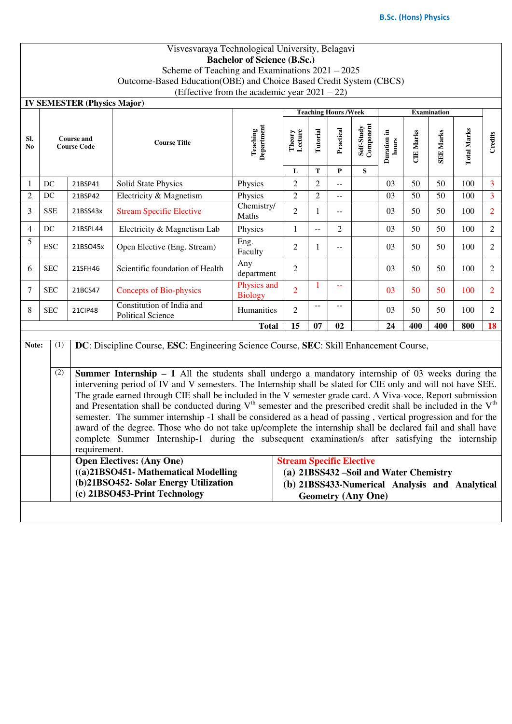## Visvesvaraya Technological University, Belagavi **Bachelor of Science (B.Sc.)**

Scheme of Teaching and Examinations 2021 – 2025

Outcome-Based Education(OBE) and Choice Based Credit System (CBCS)

(Effective from the academic year  $2021 - 22$ )

|                |                                         | <b>IV SEMESTER (Physics Major)</b> |                                                                                                                                                                                                                                                                                                                                                                                                                                                                                                                                                                                                                                                                                                                                                                                                                                                                                                                                  |                               |                                         |                |                            |                         |                      |                  |                  |                    |                |  |
|----------------|-----------------------------------------|------------------------------------|----------------------------------------------------------------------------------------------------------------------------------------------------------------------------------------------------------------------------------------------------------------------------------------------------------------------------------------------------------------------------------------------------------------------------------------------------------------------------------------------------------------------------------------------------------------------------------------------------------------------------------------------------------------------------------------------------------------------------------------------------------------------------------------------------------------------------------------------------------------------------------------------------------------------------------|-------------------------------|-----------------------------------------|----------------|----------------------------|-------------------------|----------------------|------------------|------------------|--------------------|----------------|--|
|                |                                         |                                    |                                                                                                                                                                                                                                                                                                                                                                                                                                                                                                                                                                                                                                                                                                                                                                                                                                                                                                                                  |                               |                                         |                | <b>Teaching Hours/Week</b> |                         | <b>Examination</b>   |                  |                  |                    |                |  |
| SI.<br>No      | <b>Course and</b><br><b>Course Code</b> |                                    | <b>Course Title</b>                                                                                                                                                                                                                                                                                                                                                                                                                                                                                                                                                                                                                                                                                                                                                                                                                                                                                                              | <b>Teaching</b><br>Department | Theory<br>Lecture                       | Tutorial       | Practical                  | Self-Study<br>Component | Duration in<br>hours | <b>CIE Marks</b> | <b>SEE Marks</b> | <b>Total Marks</b> | Credits        |  |
|                |                                         |                                    |                                                                                                                                                                                                                                                                                                                                                                                                                                                                                                                                                                                                                                                                                                                                                                                                                                                                                                                                  |                               | L                                       | T              | $\mathbf{P}$               | S                       |                      |                  |                  |                    |                |  |
| 1              | DC                                      | 21BSP41                            | Solid State Physics                                                                                                                                                                                                                                                                                                                                                                                                                                                                                                                                                                                                                                                                                                                                                                                                                                                                                                              | Physics                       | $\overline{2}$                          | $\overline{2}$ | $-$                        |                         | 03                   | 50               | 50               | 100                | 3              |  |
| $\overline{2}$ | $DC$                                    | 21BSP42                            | Electricity & Magnetism                                                                                                                                                                                                                                                                                                                                                                                                                                                                                                                                                                                                                                                                                                                                                                                                                                                                                                          | Physics                       | $\overline{2}$                          | $\overline{2}$ | $-$                        |                         | 03                   | 50               | 50               | 100                | $\overline{3}$ |  |
| 3              | <b>SSE</b>                              | 21BSS43x                           | <b>Stream Specific Elective</b>                                                                                                                                                                                                                                                                                                                                                                                                                                                                                                                                                                                                                                                                                                                                                                                                                                                                                                  | Chemistry/<br>Maths           | $\overline{2}$                          | $\mathbf{1}$   | $-$                        |                         | 03                   | 50               | 50               | 100                | $\overline{2}$ |  |
| 4              | DC                                      | 21BSPL44                           | Electricity & Magnetism Lab                                                                                                                                                                                                                                                                                                                                                                                                                                                                                                                                                                                                                                                                                                                                                                                                                                                                                                      | Physics                       | 1                                       | Ц.             | 2                          |                         | 03                   | 50               | 50               | 100                | $\overline{2}$ |  |
| 5              | <b>ESC</b>                              | 21BSO45x                           | Open Elective (Eng. Stream)                                                                                                                                                                                                                                                                                                                                                                                                                                                                                                                                                                                                                                                                                                                                                                                                                                                                                                      | Eng.<br>Faculty               | $\overline{2}$                          | $\mathbf{1}$   | $-$                        |                         | 03                   | 50               | 50               | 100                | $\overline{2}$ |  |
| 6              | <b>SEC</b>                              | 21SFH46                            | Scientific foundation of Health                                                                                                                                                                                                                                                                                                                                                                                                                                                                                                                                                                                                                                                                                                                                                                                                                                                                                                  | Any<br>department             | $\overline{2}$                          |                |                            |                         | 03                   | 50               | 50               | 100                | $\overline{2}$ |  |
| 7              | <b>SEC</b>                              | 21BCS47                            | <b>Concepts of Bio-physics</b>                                                                                                                                                                                                                                                                                                                                                                                                                                                                                                                                                                                                                                                                                                                                                                                                                                                                                                   | Physics and<br><b>Biology</b> | $\overline{2}$                          | 1              |                            |                         | 03                   | 50               | 50               | 100                | $\overline{2}$ |  |
| 8              | <b>SEC</b>                              | 21CIP48                            | Constitution of India and<br><b>Political Science</b>                                                                                                                                                                                                                                                                                                                                                                                                                                                                                                                                                                                                                                                                                                                                                                                                                                                                            | Humanities                    | 2                                       | $-$            | $-$                        |                         | 03                   | 50               | 50               | 100                | $\overline{2}$ |  |
|                |                                         |                                    |                                                                                                                                                                                                                                                                                                                                                                                                                                                                                                                                                                                                                                                                                                                                                                                                                                                                                                                                  | <b>Total</b>                  | 15                                      | 07             | 02                         |                         | 24                   | 400              | 400              | 800                | 18             |  |
| Note:          | (1)<br>(2)                              | requirement.                       | DC: Discipline Course, ESC: Engineering Science Course, SEC: Skill Enhancement Course,<br><b>Summer Internship - 1</b> All the students shall undergo a mandatory internship of 03 weeks during the<br>intervening period of IV and V semesters. The Internship shall be slated for CIE only and will not have SEE.<br>The grade earned through CIE shall be included in the V semester grade card. A Viva-voce, Report submission<br>and Presentation shall be conducted during $Vth$ semester and the prescribed credit shall be included in the $Vth$<br>semester. The summer internship -1 shall be considered as a head of passing, vertical progression and for the<br>award of the degree. Those who do not take up/complete the internship shall be declared fail and shall have<br>complete Summer Internship-1 during the subsequent examination/s after satisfying the internship<br><b>Open Electives: (Any One)</b> |                               | <b>Stream Specific Elective</b>         |                |                            |                         |                      |                  |                  |                    |                |  |
|                |                                         |                                    | ((a)21BSO451- Mathematical Modelling                                                                                                                                                                                                                                                                                                                                                                                                                                                                                                                                                                                                                                                                                                                                                                                                                                                                                             |                               | (a) 21BSS432 - Soil and Water Chemistry |                |                            |                         |                      |                  |                  |                    |                |  |
|                |                                         |                                    | (b)21BSO452- Solar Energy Utilization<br>(b) 21BSS433-Numerical Analysis and Analytical<br>(c) 21BSO453-Print Technology<br><b>Geometry (Any One)</b>                                                                                                                                                                                                                                                                                                                                                                                                                                                                                                                                                                                                                                                                                                                                                                            |                               |                                         |                |                            |                         |                      |                  |                  |                    |                |  |
|                |                                         |                                    |                                                                                                                                                                                                                                                                                                                                                                                                                                                                                                                                                                                                                                                                                                                                                                                                                                                                                                                                  |                               |                                         |                |                            |                         |                      |                  |                  |                    |                |  |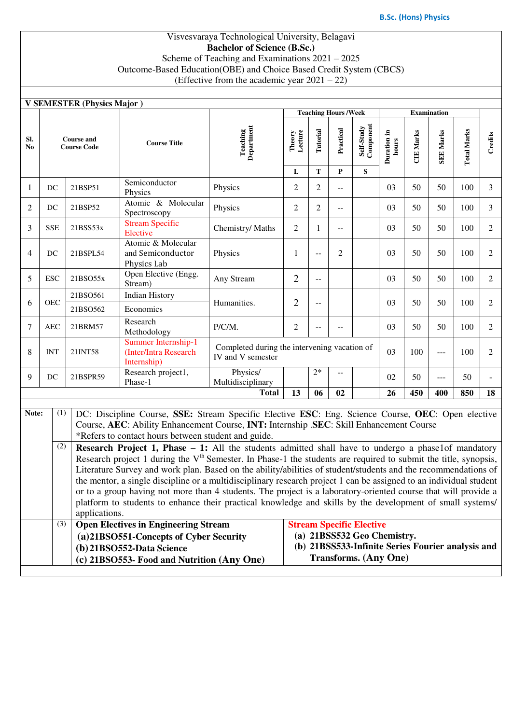#### Visvesvaraya Technological University, Belagavi **Bachelor of Science (B.Sc.)** Scheme of Teaching and Examinations 2021 – 2025 Outcome-Based Education(OBE) and Choice Based Credit System (CBCS) (Effective from the academic year  $2021 - 22$ )

|           | <b>V SEMESTER (Physics Major)</b><br><b>Examination</b>                                                   |                                                                                                                                                                                                                                      |                                                                                                                                                                                                                                     |                               |                                              |                                           |                              |                                                   |                      |                  |                  |                    |                |  |  |  |
|-----------|-----------------------------------------------------------------------------------------------------------|--------------------------------------------------------------------------------------------------------------------------------------------------------------------------------------------------------------------------------------|-------------------------------------------------------------------------------------------------------------------------------------------------------------------------------------------------------------------------------------|-------------------------------|----------------------------------------------|-------------------------------------------|------------------------------|---------------------------------------------------|----------------------|------------------|------------------|--------------------|----------------|--|--|--|
|           |                                                                                                           |                                                                                                                                                                                                                                      |                                                                                                                                                                                                                                     |                               |                                              |                                           | <b>Teaching Hours /Week</b>  |                                                   |                      |                  |                  |                    |                |  |  |  |
| SI.<br>No | <b>Course and</b><br><b>Course Code</b>                                                                   |                                                                                                                                                                                                                                      | <b>Course Title</b>                                                                                                                                                                                                                 | <b>Teaching</b><br>Department | Theory<br>Lecture                            | Tutorial                                  | Practical                    | Self-Study<br>Component                           | Duration in<br>hours | <b>CIE Marks</b> | <b>SEE Marks</b> | <b>Total Marks</b> | Credits        |  |  |  |
|           |                                                                                                           |                                                                                                                                                                                                                                      |                                                                                                                                                                                                                                     |                               | L                                            | T                                         | P                            | S                                                 |                      |                  |                  |                    |                |  |  |  |
| 1         | DC                                                                                                        | 21BSP51                                                                                                                                                                                                                              | Semiconductor<br>Physics                                                                                                                                                                                                            | Physics                       | $\overline{c}$                               | 2                                         | $-$                          |                                                   | 03                   | 50               | 50               | 100                | 3              |  |  |  |
| 2         | DC                                                                                                        | 21BSP52                                                                                                                                                                                                                              | Atomic & Molecular<br>Spectroscopy                                                                                                                                                                                                  | Physics                       | $\mathfrak{2}$                               | $\overline{2}$                            | $-$                          |                                                   | 03                   | 50               | 50               | 100                | 3              |  |  |  |
| 3         | <b>SSE</b>                                                                                                | 21BSS53x                                                                                                                                                                                                                             | <b>Stream Specific</b><br>Elective                                                                                                                                                                                                  | Chemistry/ Maths              | $\overline{2}$                               | $\mathbf{1}$                              | $-$                          |                                                   | 03                   | 50               | 50               | 100                | $\overline{2}$ |  |  |  |
| 4         | DC                                                                                                        | 21BSPL54                                                                                                                                                                                                                             | Atomic & Molecular<br>and Semiconductor<br>Physics Lab                                                                                                                                                                              | Physics                       | 1                                            | $\overline{\phantom{m}}$                  | 2                            |                                                   | 03                   | 50               | 50               | 100                | 2              |  |  |  |
| 5         | <b>ESC</b>                                                                                                | 21BSO55x                                                                                                                                                                                                                             | Open Elective (Engg.<br>Stream)                                                                                                                                                                                                     | Any Stream                    | $\overline{2}$                               | $\mathrel{{-}\mathrel{{-}}\mathrel{{-}}}$ |                              |                                                   | 03                   | 50               | 50               | 100                | 2              |  |  |  |
| 6         | <b>OEC</b>                                                                                                | 21BSO561                                                                                                                                                                                                                             | Indian History                                                                                                                                                                                                                      | Humanities.                   | $\overline{2}$                               |                                           |                              | 03                                                |                      | 50               | 50               | 100                | 2              |  |  |  |
|           |                                                                                                           | 21BSO562                                                                                                                                                                                                                             | Economics                                                                                                                                                                                                                           |                               |                                              | $-\,-$                                    |                              |                                                   |                      |                  |                  |                    |                |  |  |  |
| 7         | <b>AEC</b>                                                                                                | 21BRM57                                                                                                                                                                                                                              | Research<br>Methodology                                                                                                                                                                                                             | P/C/M.                        | $\overline{c}$                               | $-$                                       | --                           |                                                   | 03                   | 50               | 50               | 100                | 2              |  |  |  |
| 8         | <b>INT</b>                                                                                                | 21INT58                                                                                                                                                                                                                              | Summer Internship-1<br>(Inter/Intra Research<br>Internship)                                                                                                                                                                         | IV and V semester             | Completed during the intervening vacation of |                                           |                              |                                                   | 03                   | 100              | $---$            | 100                | 2              |  |  |  |
| 9         | DC                                                                                                        | 21BSPR59                                                                                                                                                                                                                             | Research project1,<br>Phase-1                                                                                                                                                                                                       | Physics/<br>Multidisciplinary |                                              | $2*$                                      | --                           |                                                   | 02                   | 50               | $\overline{a}$   | 50                 |                |  |  |  |
|           |                                                                                                           |                                                                                                                                                                                                                                      |                                                                                                                                                                                                                                     | <b>Total</b>                  | 13                                           | 06                                        | 02                           |                                                   | 26                   | 450              | 400              | 850                | 18             |  |  |  |
|           |                                                                                                           |                                                                                                                                                                                                                                      |                                                                                                                                                                                                                                     |                               |                                              |                                           |                              |                                                   |                      |                  |                  |                    |                |  |  |  |
| Note:     | (1)                                                                                                       |                                                                                                                                                                                                                                      | DC: Discipline Course, SSE: Stream Specific Elective ESC: Eng. Science Course, OEC: Open elective                                                                                                                                   |                               |                                              |                                           |                              |                                                   |                      |                  |                  |                    |                |  |  |  |
|           |                                                                                                           |                                                                                                                                                                                                                                      | Course, AEC: Ability Enhancement Course, INT: Internship .SEC: Skill Enhancement Course                                                                                                                                             |                               |                                              |                                           |                              |                                                   |                      |                  |                  |                    |                |  |  |  |
|           |                                                                                                           |                                                                                                                                                                                                                                      | *Refers to contact hours between student and guide.                                                                                                                                                                                 |                               |                                              |                                           |                              |                                                   |                      |                  |                  |                    |                |  |  |  |
|           | (2)                                                                                                       |                                                                                                                                                                                                                                      | <b>Research Project 1, Phase - 1:</b> All the students admitted shall have to undergo a phase1of mandatory                                                                                                                          |                               |                                              |                                           |                              |                                                   |                      |                  |                  |                    |                |  |  |  |
|           |                                                                                                           |                                                                                                                                                                                                                                      | Research project 1 during the $Vth$ Semester. In Phase-1 the students are required to submit the title, synopsis,<br>Literature Survey and work plan. Based on the ability/abilities of student/students and the recommendations of |                               |                                              |                                           |                              |                                                   |                      |                  |                  |                    |                |  |  |  |
|           |                                                                                                           |                                                                                                                                                                                                                                      |                                                                                                                                                                                                                                     |                               |                                              |                                           |                              |                                                   |                      |                  |                  |                    |                |  |  |  |
|           |                                                                                                           | the mentor, a single discipline or a multidisciplinary research project 1 can be assigned to an individual student<br>or to a group having not more than 4 students. The project is a laboratory-oriented course that will provide a |                                                                                                                                                                                                                                     |                               |                                              |                                           |                              |                                                   |                      |                  |                  |                    |                |  |  |  |
|           | platform to students to enhance their practical knowledge and skills by the development of small systems/ |                                                                                                                                                                                                                                      |                                                                                                                                                                                                                                     |                               |                                              |                                           |                              |                                                   |                      |                  |                  |                    |                |  |  |  |
|           |                                                                                                           | applications.                                                                                                                                                                                                                        |                                                                                                                                                                                                                                     |                               |                                              |                                           |                              |                                                   |                      |                  |                  |                    |                |  |  |  |
|           | (3)                                                                                                       |                                                                                                                                                                                                                                      | <b>Open Electives in Engineering Stream</b>                                                                                                                                                                                         |                               | <b>Stream Specific Elective</b>              |                                           |                              |                                                   |                      |                  |                  |                    |                |  |  |  |
|           |                                                                                                           |                                                                                                                                                                                                                                      | (a)21BSO551-Concepts of Cyber Security                                                                                                                                                                                              |                               |                                              |                                           |                              | (a) 21BSS532 Geo Chemistry.                       |                      |                  |                  |                    |                |  |  |  |
|           |                                                                                                           |                                                                                                                                                                                                                                      | (b) 21BSO552-Data Science                                                                                                                                                                                                           |                               |                                              |                                           |                              | (b) 21BSS533-Infinite Series Fourier analysis and |                      |                  |                  |                    |                |  |  |  |
|           |                                                                                                           | (c) 21BSO553- Food and Nutrition (Any One)                                                                                                                                                                                           |                                                                                                                                                                                                                                     |                               |                                              |                                           | <b>Transforms.</b> (Any One) |                                                   |                      |                  |                  |                    |                |  |  |  |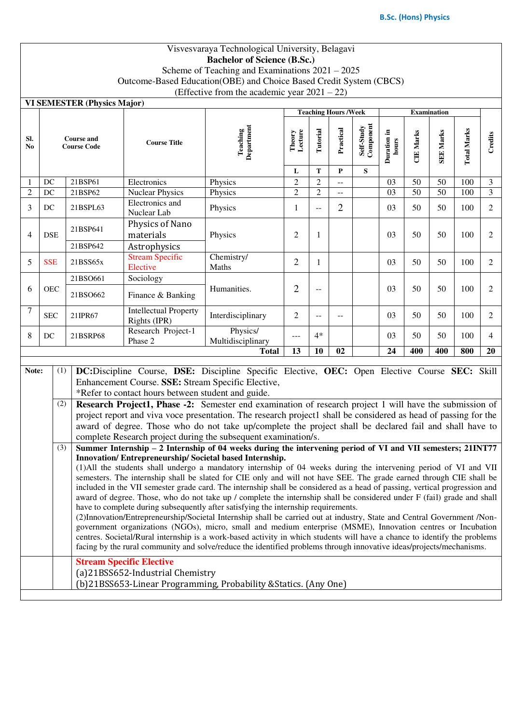# Visvesvaraya Technological University, Belagavi **Bachelor of Science (B.Sc.)**

Scheme of Teaching and Examinations 2021 – 2025 Outcome-Based Education(OBE) and Choice Based Credit System (CBCS)

(Effective from the academic year  $2021 - 22$ )

**VI SEMESTER (Physics Mo.)** 

| VI SEMESTER (Physics Major) |                                                                       |     |                                   |                                                                                                                                                                                                                                          |                        |                     |                          | <b>Teaching Hours /Week</b> |                         |                      |                  | <b>Examination</b> |                    |                |
|-----------------------------|-----------------------------------------------------------------------|-----|-----------------------------------|------------------------------------------------------------------------------------------------------------------------------------------------------------------------------------------------------------------------------------------|------------------------|---------------------|--------------------------|-----------------------------|-------------------------|----------------------|------------------|--------------------|--------------------|----------------|
| Sl.<br>N <sub>0</sub>       | <b>Course and</b><br><b>Course Code</b>                               |     |                                   | <b>Course Title</b>                                                                                                                                                                                                                      | Teaching<br>Department | Theory<br>Lecture   | Tutorial                 | Practical                   | Self-Study<br>Component | Duration in<br>hours | <b>CIE Marks</b> | <b>SEE Marks</b>   | <b>Total Marks</b> | Credits        |
|                             |                                                                       |     |                                   |                                                                                                                                                                                                                                          |                        | L<br>$\overline{2}$ | ${\bf T}$                | $\bf{P}$                    | S                       |                      |                  |                    |                    |                |
| 1                           | DC                                                                    |     | 21BSP61<br>Electronics<br>Physics |                                                                                                                                                                                                                                          |                        |                     | $\overline{2}$           | $-$                         |                         | 03                   | 50               | 50                 | 100                | $\mathfrak{Z}$ |
| $\overline{2}$              | DC                                                                    |     | 21BSP62                           | <b>Nuclear Physics</b>                                                                                                                                                                                                                   | Physics                | $\overline{2}$      | $\overline{2}$           | $\overline{\phantom{a}}$    |                         | $\overline{03}$      | 50               | $\overline{50}$    | $\overline{100}$   | $\overline{3}$ |
| 3                           | DC                                                                    |     | 21BSPL63                          | Electronics and<br>Nuclear Lab                                                                                                                                                                                                           | Physics                | $\mathbf{1}$        | $\overline{\phantom{a}}$ | 2                           |                         | 03                   | 50               | 50                 | 100                | $\overline{2}$ |
| $\overline{4}$              | <b>DSE</b>                                                            |     | 21BSP641                          | Physics of Nano<br>materials                                                                                                                                                                                                             | Physics                | $\mathbf{2}$        | $\mathbf{1}$             |                             |                         | 03                   | 50               | 50                 | 100                | 2              |
|                             |                                                                       |     | 21BSP642                          | Astrophysics                                                                                                                                                                                                                             |                        |                     |                          |                             |                         |                      |                  |                    |                    |                |
| 5                           | <b>Stream Specific</b><br><b>SSE</b><br>21BSS65x<br>Elective          |     | Chemistry/<br>Maths               | $\overline{2}$                                                                                                                                                                                                                           | $\mathbf{1}$           |                     |                          | 03                          | 50                      | 50                   | 100              | $\overline{2}$     |                    |                |
|                             |                                                                       |     | 21BSO661                          | Sociology                                                                                                                                                                                                                                |                        |                     |                          |                             |                         |                      |                  |                    |                    |                |
| 6                           | <b>OEC</b>                                                            |     | 21BSO662                          | Finance & Banking                                                                                                                                                                                                                        | Humanities.            | $\overline{2}$      | --                       |                             |                         | 03                   | 50               | 50                 | 100                | $\overline{2}$ |
| 7                           | <b>Intellectual Property</b><br><b>SEC</b><br>21IPR67<br>Rights (IPR) |     | Interdisciplinary                 | $\mathbf{2}$                                                                                                                                                                                                                             | $\overline{a}$         |                     |                          | 03                          | 50                      | 50                   | 100              | 2                  |                    |                |
| 8                           | Research Project-1<br>DC<br>21BSRP68<br>Phase 2                       |     | Physics/<br>Multidisciplinary     | $---$                                                                                                                                                                                                                                    | $4*$                   |                     |                          | 03                          | 50                      | 50                   | 100              | $\overline{4}$     |                    |                |
|                             |                                                                       |     |                                   |                                                                                                                                                                                                                                          | <b>Total</b>           | 13                  | 10                       | 02                          |                         | $\overline{24}$      | 400              | 400                | 800                | 20             |
| Note:                       |                                                                       | (1) |                                   | DC: Discipline Course, DSE: Discipline Specific Elective, OEC: Open Elective Course SEC: Skill                                                                                                                                           |                        |                     |                          |                             |                         |                      |                  |                    |                    |                |
|                             |                                                                       |     |                                   | Enhancement Course. SSE: Stream Specific Elective,                                                                                                                                                                                       |                        |                     |                          |                             |                         |                      |                  |                    |                    |                |
|                             |                                                                       |     |                                   | *Refer to contact hours between student and guide.                                                                                                                                                                                       |                        |                     |                          |                             |                         |                      |                  |                    |                    |                |
|                             |                                                                       | (2) |                                   | Research Project1, Phase -2: Semester end examination of research project 1 will have the submission of                                                                                                                                  |                        |                     |                          |                             |                         |                      |                  |                    |                    |                |
|                             |                                                                       |     |                                   | project report and viva voce presentation. The research project1 shall be considered as head of passing for the                                                                                                                          |                        |                     |                          |                             |                         |                      |                  |                    |                    |                |
|                             |                                                                       |     |                                   | award of degree. Those who do not take up/complete the project shall be declared fail and shall have to                                                                                                                                  |                        |                     |                          |                             |                         |                      |                  |                    |                    |                |
|                             |                                                                       |     |                                   | complete Research project during the subsequent examination/s.                                                                                                                                                                           |                        |                     |                          |                             |                         |                      |                  |                    |                    |                |
|                             |                                                                       | (3) |                                   | Summer Internship - 2 Internship of 04 weeks during the intervening period of VI and VII semesters; 21INT77                                                                                                                              |                        |                     |                          |                             |                         |                      |                  |                    |                    |                |
|                             |                                                                       |     |                                   | Innovation/Entrepreneurship/Societal based Internship.                                                                                                                                                                                   |                        |                     |                          |                             |                         |                      |                  |                    |                    |                |
|                             |                                                                       |     |                                   | (1) All the students shall undergo a mandatory internship of 04 weeks during the intervening period of VI and VII<br>semesters. The internship shall be slated for CIE only and will not have SEE. The grade earned through CIE shall be |                        |                     |                          |                             |                         |                      |                  |                    |                    |                |
|                             |                                                                       |     |                                   | included in the VII semester grade card. The internship shall be considered as a head of passing, vertical progression and                                                                                                               |                        |                     |                          |                             |                         |                      |                  |                    |                    |                |
|                             |                                                                       |     |                                   | award of degree. Those, who do not take up / complete the internship shall be considered under F (fail) grade and shall                                                                                                                  |                        |                     |                          |                             |                         |                      |                  |                    |                    |                |
|                             |                                                                       |     |                                   | have to complete during subsequently after satisfying the internship requirements.                                                                                                                                                       |                        |                     |                          |                             |                         |                      |                  |                    |                    |                |
|                             |                                                                       |     |                                   | (2) Innovation/Entrepreneurship/Societal Internship shall be carried out at industry, State and Central Government /Non-                                                                                                                 |                        |                     |                          |                             |                         |                      |                  |                    |                    |                |
|                             |                                                                       |     |                                   | government organizations (NGOs), micro, small and medium enterprise (MSME), Innovation centres or Incubation                                                                                                                             |                        |                     |                          |                             |                         |                      |                  |                    |                    |                |
|                             |                                                                       |     |                                   | centres. Societal/Rural internship is a work-based activity in which students will have a chance to identify the problems                                                                                                                |                        |                     |                          |                             |                         |                      |                  |                    |                    |                |
|                             |                                                                       |     |                                   | facing by the rural community and solve/reduce the identified problems through innovative ideas/projects/mechanisms.                                                                                                                     |                        |                     |                          |                             |                         |                      |                  |                    |                    |                |

**Stream Specific Elective** (a)21BSS652-Industrial Chemistry

(b)21BSS653-Linear Programming, Probability &Statics. (Any One)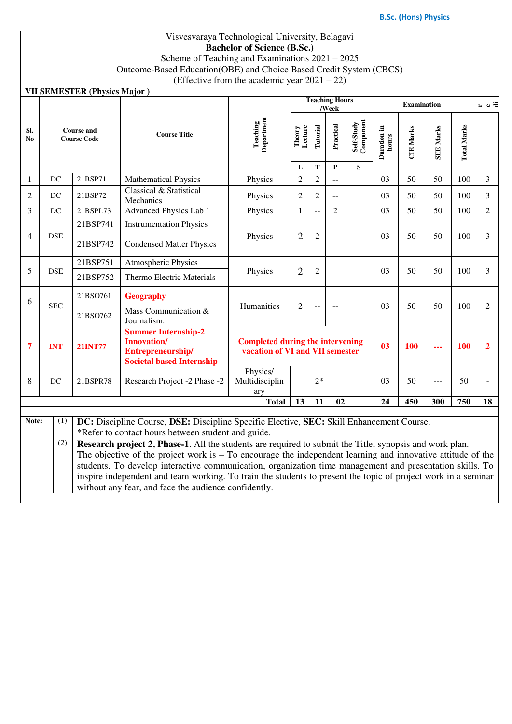**e di**

#### Visvesvaraya Technological University, Belagavi **Bachelor of Science (B.Sc.)** Scheme of Teaching and Examinations 2021 – 2025 Outcome-Based Education(OBE) and Choice Based Credit System (CBCS) (Effective from the academic year 2021 – 22)

|                       |                                         | <b>VII SEMESTER (Physics Major)</b> |                                                                                                                                                                                                                                                                                                                                      | (Effective from the academic year $2021 - 22$ ) |                                                                            |                  |                                |                              |                      |                    |                  |                    |                |
|-----------------------|-----------------------------------------|-------------------------------------|--------------------------------------------------------------------------------------------------------------------------------------------------------------------------------------------------------------------------------------------------------------------------------------------------------------------------------------|-------------------------------------------------|----------------------------------------------------------------------------|------------------|--------------------------------|------------------------------|----------------------|--------------------|------------------|--------------------|----------------|
|                       |                                         |                                     |                                                                                                                                                                                                                                                                                                                                      |                                                 |                                                                            |                  | <b>Teaching Hours</b><br>/Week |                              |                      | <b>Examination</b> |                  |                    | ∺ ہ ∺          |
| SI.<br>N <sub>0</sub> | <b>Course and</b><br><b>Course Code</b> |                                     | <b>Course Title</b>                                                                                                                                                                                                                                                                                                                  | <b>Teaching</b><br>Department                   | Lecture<br>Theory<br>L                                                     | Tutorial<br>T    | Practical<br>$\mathbf{P}$      | Self-Study<br>Component<br>S | Duration in<br>hours | <b>CIE Marks</b>   | <b>SEE Marks</b> | <b>Total Marks</b> |                |
| 1                     | DC                                      | 21BSP71                             | <b>Mathematical Physics</b>                                                                                                                                                                                                                                                                                                          | Physics                                         | $\overline{2}$                                                             | $\overline{c}$   |                                |                              | 03                   | 50                 | 50               | 100                | $\mathfrak{Z}$ |
| $\overline{2}$        | DC                                      | 21BSP72                             | Classical & Statistical<br>Mechanics                                                                                                                                                                                                                                                                                                 | Physics                                         | $\overline{2}$                                                             | $\overline{2}$   | $-$                            |                              | 03                   | 50                 | 50               | 100                | 3              |
| 3                     | DC                                      | 21BSPL73                            | <b>Advanced Physics Lab 1</b>                                                                                                                                                                                                                                                                                                        | Physics                                         | $\mathbf{1}$                                                               | $-$              | $\overline{2}$                 |                              | 03                   | 50                 | 50               | 100                | $\overline{2}$ |
|                       | <b>DSE</b>                              | 21BSP741                            | <b>Instrumentation Physics</b>                                                                                                                                                                                                                                                                                                       |                                                 |                                                                            |                  |                                |                              | 03                   | 50                 | 50               | 100                |                |
| $\overline{4}$        |                                         | 21BSP742                            | <b>Condensed Matter Physics</b>                                                                                                                                                                                                                                                                                                      | Physics                                         | $\overline{2}$                                                             | $\boldsymbol{2}$ |                                |                              |                      |                    |                  |                    | 3              |
| 5                     | <b>DSE</b>                              | 21BSP751                            | <b>Atmospheric Physics</b>                                                                                                                                                                                                                                                                                                           | Physics                                         |                                                                            |                  |                                |                              |                      |                    |                  |                    |                |
|                       |                                         | 21BSP752                            | <b>Thermo Electric Materials</b>                                                                                                                                                                                                                                                                                                     |                                                 | $\overline{2}$                                                             | $\mathfrak{2}$   |                                |                              | 03                   | 50                 | 50               | 100                | 3              |
| 6                     | <b>SEC</b>                              | 21BSO761                            | <b>Geography</b>                                                                                                                                                                                                                                                                                                                     | Humanities                                      | $\mathfrak{2}$                                                             |                  |                                |                              | 03                   | 50                 | 50               | 100                | 2              |
|                       |                                         | 21BSO762                            | Mass Communication &<br>Journalism.                                                                                                                                                                                                                                                                                                  |                                                 |                                                                            | --               | $-$                            |                              |                      |                    |                  |                    |                |
| 7                     | <b>INT</b>                              | <b>21INT77</b>                      | <b>Summer Internship-2</b><br><b>Innovation/</b><br>Entrepreneurship/<br><b>Societal based Internship</b>                                                                                                                                                                                                                            |                                                 | <b>Completed during the intervening</b><br>vacation of VI and VII semester |                  |                                |                              | 0 <sup>3</sup>       | 100                |                  | 100                | $\overline{2}$ |
| 8                     | DC                                      | 21BSPR78                            | Research Project -2 Phase -2                                                                                                                                                                                                                                                                                                         | Physics/<br>Multidisciplin<br>ary               |                                                                            | $2*$             |                                |                              | 03                   | 50                 | ---              | 50                 |                |
|                       |                                         |                                     |                                                                                                                                                                                                                                                                                                                                      | <b>Total</b>                                    | 13                                                                         | 11               | 02                             |                              | 24                   | 450                | 300              | 750                | 18             |
| Note:                 | (1)                                     |                                     | DC: Discipline Course, DSE: Discipline Specific Elective, SEC: Skill Enhancement Course.                                                                                                                                                                                                                                             |                                                 |                                                                            |                  |                                |                              |                      |                    |                  |                    |                |
|                       |                                         |                                     | *Refer to contact hours between student and guide.                                                                                                                                                                                                                                                                                   |                                                 |                                                                            |                  |                                |                              |                      |                    |                  |                    |                |
|                       | (2)                                     |                                     | Research project 2, Phase-1. All the students are required to submit the Title, synopsis and work plan.<br>The objective of the project work is $-$ To encourage the independent learning and innovative attitude of the<br>students. To develop interactive communication, organization time management and presentation skills. To |                                                 |                                                                            |                  |                                |                              |                      |                    |                  |                    |                |

without any fear, and face the audience confidently.

inspire independent and team working. To train the students to present the topic of project work in a seminar